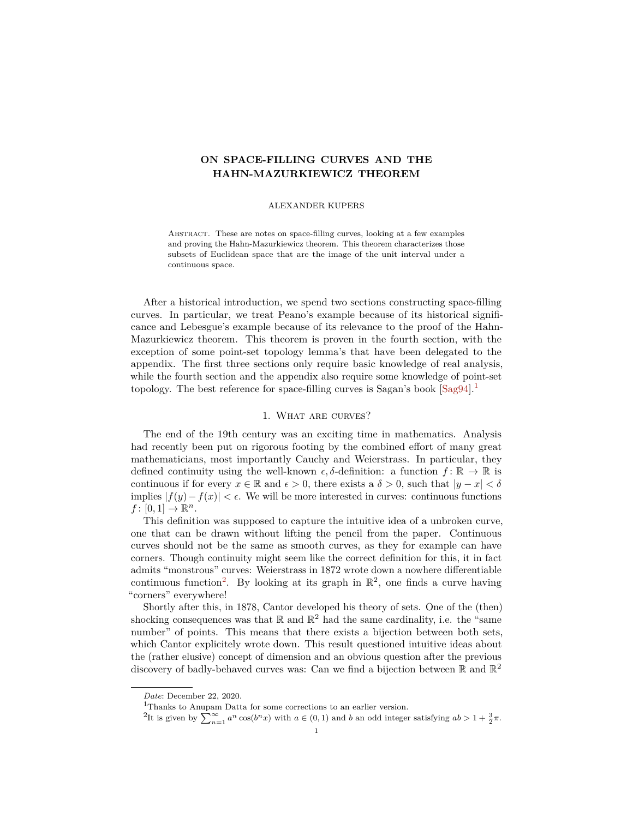# <span id="page-0-2"></span>**ON SPACE-FILLING CURVES AND THE HAHN-MAZURKIEWICZ THEOREM**

### ALEXANDER KUPERS

Abstract. These are notes on space-filling curves, looking at a few examples and proving the Hahn-Mazurkiewicz theorem. This theorem characterizes those subsets of Euclidean space that are the image of the unit interval under a continuous space.

After a historical introduction, we spend two sections constructing space-filling curves. In particular, we treat Peano's example because of its historical significance and Lebesgue's example because of its relevance to the proof of the Hahn-Mazurkiewicz theorem. This theorem is proven in the fourth section, with the exception of some point-set topology lemma's that have been delegated to the appendix. The first three sections only require basic knowledge of real analysis, while the fourth section and the appendix also require some knowledge of point-set topology. The best reference for space-filling curves is Sagan's book  $\lceil \text{Sag94} \rceil$ .

## 1. What are curves?

The end of the 19th century was an exciting time in mathematics. Analysis had recently been put on rigorous footing by the combined effort of many great mathematicians, most importantly Cauchy and Weierstrass. In particular, they defined continuity using the well-known  $\epsilon$ ,  $\delta$ -definition: a function  $f: \mathbb{R} \to \mathbb{R}$  is continuous if for every  $x \in \mathbb{R}$  and  $\epsilon > 0$ , there exists a  $\delta > 0$ , such that  $|y - x| < \delta$ implies |*f*(*y*)−*f*(*x*)| *<* . We will be more interested in curves: continuous functions  $f: [0,1] \to \mathbb{R}^n$ .

This definition was supposed to capture the intuitive idea of a unbroken curve, one that can be drawn without lifting the pencil from the paper. Continuous curves should not be the same as smooth curves, as they for example can have corners. Though continuity might seem like the correct definition for this, it in fact admits "monstrous" curves: Weierstrass in 1872 wrote down a nowhere differentiable continuous function<sup>[2](#page-0-1)</sup>. By looking at its graph in  $\mathbb{R}^2$ , one finds a curve having "corners" everywhere!

Shortly after this, in 1878, Cantor developed his theory of sets. One of the (then) shocking consequences was that  $\mathbb{R}$  and  $\mathbb{R}^2$  had the same cardinality, i.e. the "same number" of points. This means that there exists a bijection between both sets, which Cantor explicitely wrote down. This result questioned intuitive ideas about the (rather elusive) concept of dimension and an obvious question after the previous discovery of badly-behaved curves was: Can we find a bijection between  $\mathbb R$  and  $\mathbb R^2$ 

*Date*: December 22, 2020.

<span id="page-0-1"></span><span id="page-0-0"></span>

<sup>&</sup>lt;sup>1</sup>Thanks to Anupam Datta for some corrections to an earlier version.<br><sup>2</sup>It is given by  $\sum_{n=1}^{\infty} a^n \cos(b^n x)$  with  $a \in (0,1)$  and b an odd integer satisfying  $ab > 1 + \frac{3}{2}\pi$ .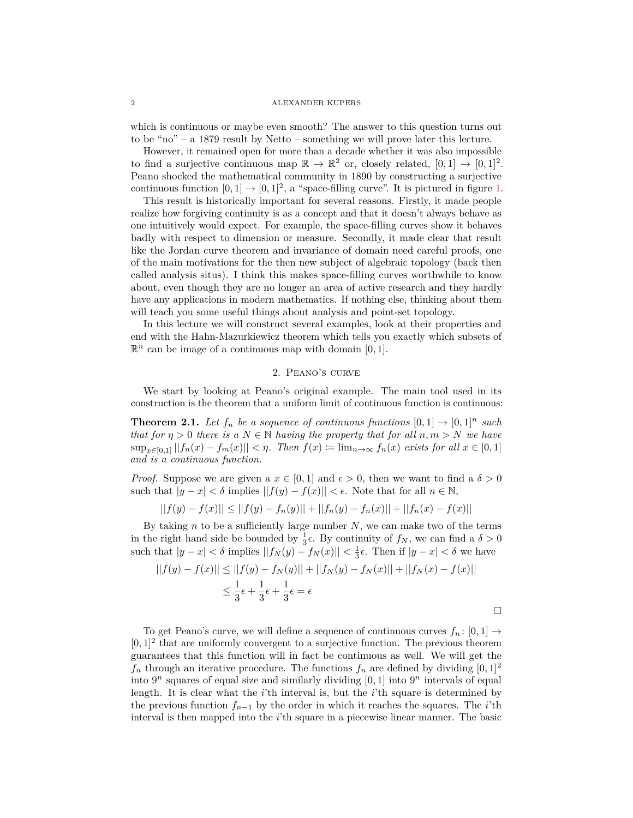which is continuous or maybe even smooth? The answer to this question turns out to be "no" – a 1879 result by Netto – something we will prove later this lecture.

However, it remained open for more than a decade whether it was also impossible to find a surjective continuous map  $\mathbb{R} \to \mathbb{R}^2$  or, closely related,  $[0,1] \to [0,1]^2$ . Peano shocked the mathematical community in 1890 by constructing a surjective continuous function  $[0,1] \rightarrow [0,1]^2$ , a "space-filling curve". It is pictured in figure [1.](#page-2-0)

This result is historically important for several reasons. Firstly, it made people realize how forgiving continuity is as a concept and that it doesn't always behave as one intuitively would expect. For example, the space-filling curves show it behaves badly with respect to dimension or measure. Secondly, it made clear that result like the Jordan curve theorem and invariance of domain need careful proofs, one of the main motivations for the then new subject of algebraic topology (back then called analysis situs). I think this makes space-filling curves worthwhile to know about, even though they are no longer an area of active research and they hardly have any applications in modern mathematics. If nothing else, thinking about them will teach you some useful things about analysis and point-set topology.

In this lecture we will construct several examples, look at their properties and end with the Hahn-Mazurkiewicz theorem which tells you exactly which subsets of  $\mathbb{R}^n$  can be image of a continuous map with domain  $[0, 1]$ .

# 2. Peano's curve

We start by looking at Peano's original example. The main tool used in its construction is the theorem that a uniform limit of continuous function is continuous:

**Theorem 2.1.** Let  $f_n$  be a sequence of continuous functions  $[0,1] \rightarrow [0,1]^n$  such *that for*  $\eta > 0$  *there is a*  $N \in \mathbb{N}$  *having the property that for all*  $n, m > N$  *we have*  $\sup_{x \in [0,1]} ||f_n(x) - f_m(x)|| < \eta$ . Then  $f(x) \coloneqq \lim_{n \to \infty} f_n(x)$  exists for all  $x \in [0,1]$ *and is a continuous function.*

*Proof.* Suppose we are given a  $x \in [0, 1]$  and  $\epsilon > 0$ , then we want to find a  $\delta > 0$ such that  $|y - x| < \delta$  implies  $||f(y) - f(x)|| < \epsilon$ . Note that for all  $n \in \mathbb{N}$ ,

$$
||f(y) - f(x)|| \le ||f(y) - f_n(y)|| + ||f_n(y) - f_n(x)|| + ||f_n(x) - f(x)||
$$

By taking *n* to be a sufficiently large number *N*, we can make two of the terms in the right hand side be bounded by  $\frac{1}{3}\epsilon$ . By continuity of  $f_N$ , we can find a  $\delta > 0$ such that  $|y - x| < \delta$  implies  $||f_N(y) - f_N(x)|| < \frac{1}{3}\epsilon$ . Then if  $|y - x| < \delta$  we have

$$
||f(y) - f(x)|| \le ||f(y) - f_N(y)|| + ||f_N(y) - f_N(x)|| + ||f_N(x) - f(x)||
$$
  

$$
\le \frac{1}{3}\epsilon + \frac{1}{3}\epsilon + \frac{1}{3}\epsilon = \epsilon
$$

To get Peano's curve, we will define a sequence of continuous curves  $f_n : [0,1] \rightarrow$  $[0,1]^2$  that are uniformly convergent to a surjective function. The previous theorem guarantees that this function will in fact be continuous as well. We will get the  $f_n$  through an iterative procedure. The functions  $f_n$  are defined by dividing  $[0,1]^2$ into  $9^n$  squares of equal size and similarly dividing  $[0, 1]$  into  $9^n$  intervals of equal length. It is clear what the *i*'th interval is, but the *i*'th square is determined by the previous function *fn*−<sup>1</sup> by the order in which it reaches the squares. The *i*'th interval is then mapped into the *i*'th square in a piecewise linear manner. The basic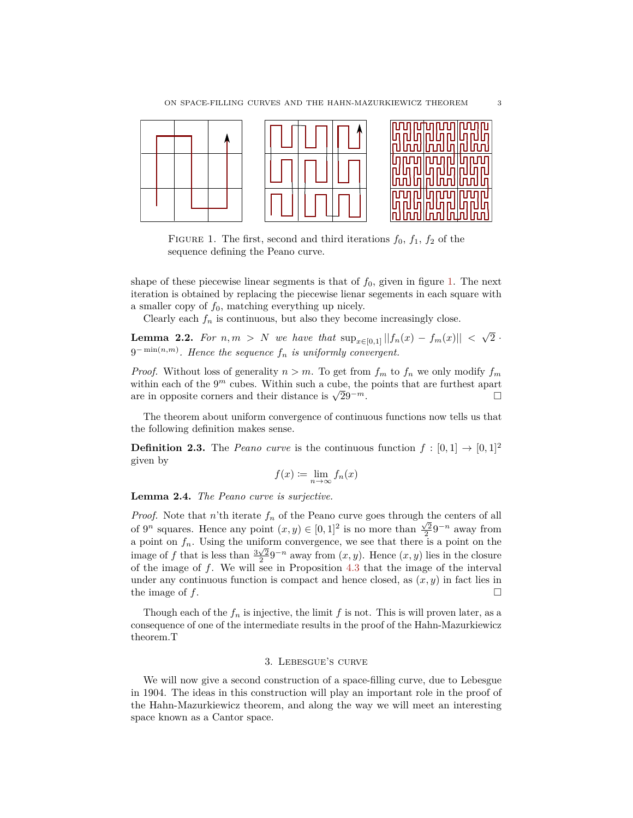

<span id="page-2-0"></span>FIGURE 1. The first, second and third iterations  $f_0$ ,  $f_1$ ,  $f_2$  of the sequence defining the Peano curve.

shape of these piecewise linear segments is that of  $f_0$ , given in figure [1.](#page-2-0) The next iteration is obtained by replacing the piecewise lienar segements in each square with a smaller copy of  $f_0$ , matching everything up nicely.

Clearly each  $f_n$  is continuous, but also they become increasingly close.

**Lemma 2.2.** *For*  $n, m > N$  *we have that*  $\sup_{x \in [0,1]} ||f_n(x) - f_m(x)||$  < √  $2 \cdot$ 9 − min(*n,m*) *. Hence the sequence f<sup>n</sup> is uniformly convergent.*

*Proof.* Without loss of generality  $n > m$ . To get from  $f_m$  to  $f_n$  we only modify  $f_m$ within each of the  $9<sup>m</sup>$  cubes. Within such a cube, the points that are furthest apart within each of the 9<sup>-1</sup> cubes. Within such a cube, the points that are furthest apart<br>are in opposite corners and their distance is  $\sqrt{2}9^{-m}$ .

The theorem about uniform convergence of continuous functions now tells us that the following definition makes sense.

**Definition 2.3.** The *Peano curve* is the continuous function  $f : [0,1] \rightarrow [0,1]^2$ given by

$$
f(x) := \lim_{n \to \infty} f_n(x)
$$

**Lemma 2.4.** *The Peano curve is surjective.*

*Proof.* Note that *n*'th iterate  $f_n$  of the Peano curve goes through the centers of all of  $9^n$  squares. Hence any point  $(x, y) \in [0, 1]^2$  is no more than  $\frac{\sqrt{2}}{2}9^{-n}$  away from a point on  $f_n$ . Using the uniform convergence, we see that there is a point on the image of *f* that is less than  $\frac{3\sqrt{2}}{2}9^{-n}$  away from  $(x, y)$ . Hence  $(x, y)$  lies in the closure of the image of *f*. We will see in Proposition [4.3](#page-5-0) that the image of the interval under any continuous function is compact and hence closed, as  $(x, y)$  in fact lies in the image of  $f$ .

Though each of the  $f_n$  is injective, the limit  $f$  is not. This is will proven later, as a consequence of one of the intermediate results in the proof of the Hahn-Mazurkiewicz theorem.T

## 3. Lebesgue's curve

We will now give a second construction of a space-filling curve, due to Lebesgue in 1904. The ideas in this construction will play an important role in the proof of the Hahn-Mazurkiewicz theorem, and along the way we will meet an interesting space known as a Cantor space.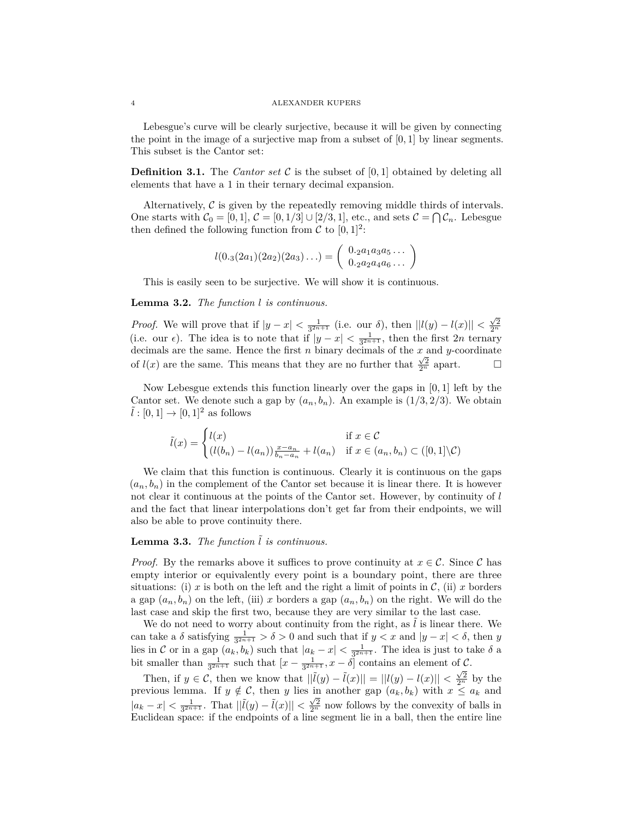Lebesgue's curve will be clearly surjective, because it will be given by connecting the point in the image of a surjective map from a subset of [0*,* 1] by linear segments. This subset is the Cantor set:

**Definition 3.1.** The *Cantor set*  $\mathcal{C}$  is the subset of [0, 1] obtained by deleting all elements that have a 1 in their ternary decimal expansion.

Alternatively,  $\mathcal C$  is given by the repeatedly removing middle thirds of intervals. One starts with  $C_0 = [0, 1], C = [0, 1/3] \cup [2/3, 1],$  etc., and sets  $C = \bigcap \mathcal{C}_n$ . Lebesgue then defined the following function from  $\mathcal{C}$  to  $[0, 1]^2$ :

$$
l(0_{\cdot3}(2a_1)(2a_2)(2a_3)\ldots) = \begin{pmatrix} 0_{\cdot2}a_1a_3a_5\ldots \\ 0_{\cdot2}a_2a_4a_6\ldots \end{pmatrix}
$$

This is easily seen to be surjective. We will show it is continuous.

## **Lemma 3.2.** *The function l is continuous.*

*Proof.* We will prove that if  $|y - x| < \frac{1}{3^{2n+1}}$  (i.e. our *δ*), then  $||l(y) - l(x)|| < \frac{\sqrt{2}}{2^n}$ (i.e. our  $\epsilon$ ). The idea is to note that if  $|y - x| < \frac{1}{3^{2n+1}}$ , then the first 2*n* ternary decimals are the same. Hence the first *n* binary decimals of the  $x$  and  $y$ -coordinate of  $l(x)$  are the same. This means that they are no further that  $\frac{\sqrt{2}}{2^n}$  apart.  $\Box$ 

Now Lebesgue extends this function linearly over the gaps in [0*,* 1] left by the Cantor set. We denote such a gap by  $(a_n, b_n)$ . An example is  $(1/3, 2/3)$ . We obtain  $l : [0,1] \rightarrow [0,1]^2$  as follows

$$
\tilde{l}(x) = \begin{cases} l(x) & \text{if } x \in \mathcal{C} \\ (l(b_n) - l(a_n)) \frac{x - a_n}{b_n - a_n} + l(a_n) & \text{if } x \in (a_n, b_n) \subset ([0, 1] \backslash \mathcal{C}) \end{cases}
$$

We claim that this function is continuous. Clearly it is continuous on the gaps  $(a_n, b_n)$  in the complement of the Cantor set because it is linear there. It is however not clear it continuous at the points of the Cantor set. However, by continuity of *l* and the fact that linear interpolations don't get far from their endpoints, we will also be able to prove continuity there.

# **Lemma 3.3.** *The function*  $\tilde{l}$  *is continuous.*

*Proof.* By the remarks above it suffices to prove continuity at  $x \in C$ . Since C has empty interior or equivalently every point is a boundary point, there are three situations: (i) *x* is both on the left and the right a limit of points in  $\mathcal{C}$ , (ii) *x* borders a gap  $(a_n, b_n)$  on the left, (iii) *x* borders a gap  $(a_n, b_n)$  on the right. We will do the last case and skip the first two, because they are very similar to the last case.

We do not need to worry about continuity from the right, as  $l$  is linear there. We can take a  $\delta$  satisfying  $\frac{1}{3^{2n+1}} > \delta > 0$  and such that if  $y < x$  and  $|y - x| < \delta$ , then *y* lies in C or in a gap  $(a_k, b_k)$  such that  $|a_k - x| < \frac{1}{3^{2n+1}}$ . The idea is just to take  $\delta$  a bit smaller than  $\frac{1}{3^{2n+1}}$  such that  $[x-\frac{1}{3^{2n+1}},x-\delta]$  contains an element of  $\mathcal{C}$ .

Then, if  $y \in C$ , then we know that  $||\tilde{l}(y) - \tilde{l}(x)|| = ||l(y) - l(x)|| < \frac{\sqrt{2}}{2^n}$  by the previous lemma. If  $y \notin C$ , then *y* lies in another gap  $(a_k, b_k)$  with  $x \le a_k$  and  $|a_k - x| < \frac{1}{3^{2n+1}}$ . That  $||\tilde{l}(y) - \tilde{l}(x)|| < \frac{\sqrt{2}}{2^n}$  now follows by the convexity of balls in Euclidean space: if the endpoints of a line segment lie in a ball, then the entire line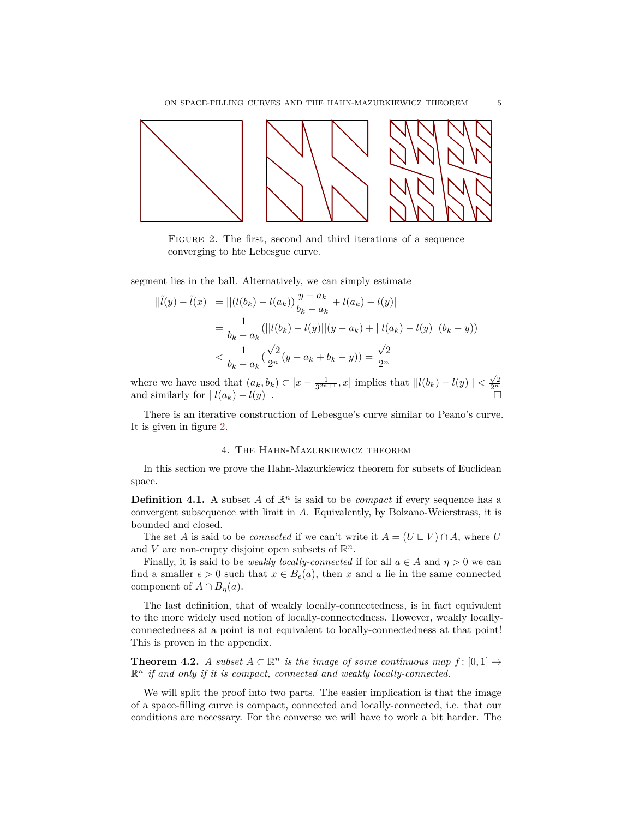

<span id="page-4-0"></span>Figure 2. The first, second and third iterations of a sequence converging to hte Lebesgue curve.

segment lies in the ball. Alternatively, we can simply estimate

$$
||\tilde{l}(y) - \tilde{l}(x)|| = ||(l(b_k) - l(a_k))\frac{y - a_k}{b_k - a_k} + l(a_k) - l(y)||
$$
  
= 
$$
\frac{1}{b_k - a_k} (||l(b_k) - l(y)||(y - a_k) + ||l(a_k) - l(y)||(b_k - y))
$$
  

$$
< \frac{1}{b_k - a_k} (\frac{\sqrt{2}}{2^n} (y - a_k + b_k - y)) = \frac{\sqrt{2}}{2^n}
$$

where we have used that  $(a_k, b_k) \subset [x - \frac{1}{3^{2n+1}}, x]$  implies that  $||l(b_k) - l(y)|| < \frac{\sqrt{2}}{2^n}$ <br>and similarly for  $||l(a_k) - l(y)||$ .

There is an iterative construction of Lebesgue's curve similar to Peano's curve. It is given in figure [2.](#page-4-0)

## 4. The Hahn-Mazurkiewicz theorem

In this section we prove the Hahn-Mazurkiewicz theorem for subsets of Euclidean space.

**Definition 4.1.** A subset A of  $\mathbb{R}^n$  is said to be *compact* if every sequence has a convergent subsequence with limit in *A*. Equivalently, by Bolzano-Weierstrass, it is bounded and closed.

The set *A* is said to be *connected* if we can't write it  $A = (U \sqcup V) \cap A$ , where *U* and V are non-empty disjoint open subsets of  $\mathbb{R}^n$ .

Finally, it is said to be *weakly locally-connected* if for all  $a \in A$  and  $\eta > 0$  we can find a smaller  $\epsilon > 0$  such that  $x \in B_{\epsilon}(a)$ , then *x* and *a* lie in the same connected component of  $A \cap B_n(a)$ .

The last definition, that of weakly locally-connectedness, is in fact equivalent to the more widely used notion of locally-connectedness. However, weakly locallyconnectedness at a point is not equivalent to locally-connectedness at that point! This is proven in the appendix.

**Theorem 4.2.** *A subset*  $A \subset \mathbb{R}^n$  *is the image of some continuous map*  $f : [0,1] \rightarrow$  $\mathbb{R}^n$  *if and only if it is compact, connected and weakly locally-connected.* 

We will split the proof into two parts. The easier implication is that the image of a space-filling curve is compact, connected and locally-connected, i.e. that our conditions are necessary. For the converse we will have to work a bit harder. The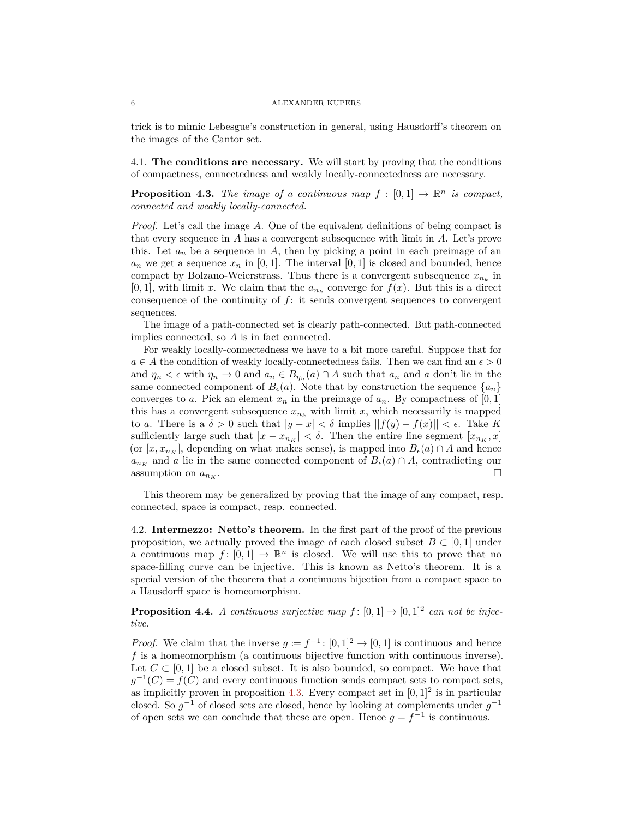trick is to mimic Lebesgue's construction in general, using Hausdorff's theorem on the images of the Cantor set.

4.1. **The conditions are necessary.** We will start by proving that the conditions of compactness, connectedness and weakly locally-connectedness are necessary.

<span id="page-5-0"></span>**Proposition 4.3.** *The image of a continuous map*  $f : [0,1] \rightarrow \mathbb{R}^n$  *is compact, connected and weakly locally-connected.*

*Proof.* Let's call the image *A*. One of the equivalent definitions of being compact is that every sequence in *A* has a convergent subsequence with limit in *A*. Let's prove this. Let  $a_n$  be a sequence in A, then by picking a point in each preimage of an  $a_n$  we get a sequence  $x_n$  in [0, 1]. The interval [0, 1] is closed and bounded, hence compact by Bolzano-Weierstrass. Thus there is a convergent subsequence  $x_{n_k}$  in [0, 1], with limit *x*. We claim that the  $a_{n_k}$  converge for  $f(x)$ . But this is a direct consequence of the continuity of *f*: it sends convergent sequences to convergent sequences.

The image of a path-connected set is clearly path-connected. But path-connected implies connected, so *A* is in fact connected.

For weakly locally-connectedness we have to a bit more careful. Suppose that for  $a \in A$  the condition of weakly locally-connectedness fails. Then we can find an  $\epsilon > 0$ and  $\eta_n < \epsilon$  with  $\eta_n \to 0$  and  $a_n \in B_{\eta_n}(a) \cap A$  such that  $a_n$  and  $a$  don't lie in the same connected component of  $B_{\epsilon}(a)$ . Note that by construction the sequence  $\{a_n\}$ converges to *a*. Pick an element  $x_n$  in the preimage of  $a_n$ . By compactness of  $[0,1]$ this has a convergent subsequence  $x_{n_k}$  with limit  $x$ , which necessarily is mapped to *a*. There is a  $\delta > 0$  such that  $|y - x| < \delta$  implies  $||f(y) - f(x)|| < \epsilon$ . Take K sufficiently large such that  $|x - x_{n_K}| < \delta$ . Then the entire line segment  $[x_{n_K}, x]$ (or  $[x, x_{n_K}]$ , depending on what makes sense), is mapped into  $B_{\epsilon}(a) \cap A$  and hence  $a_{n_K}$  and *a* lie in the same connected component of  $B_\epsilon(a) \cap A$ , contradicting our assumption on  $a_{n_K}$ .

This theorem may be generalized by proving that the image of any compact, resp. connected, space is compact, resp. connected.

4.2. **Intermezzo: Netto's theorem.** In the first part of the proof of the previous proposition, we actually proved the image of each closed subset  $B \subset [0, 1]$  under a continuous map  $f: [0,1] \to \mathbb{R}^n$  is closed. We will use this to prove that no space-filling curve can be injective. This is known as Netto's theorem. It is a special version of the theorem that a continuous bijection from a compact space to a Hausdorff space is homeomorphism.

**Proposition 4.4.** *A continuous surjective map*  $f : [0,1] \rightarrow [0,1]^2$  *can not be injective.*

*Proof.* We claim that the inverse  $g := f^{-1}$ : [0, 1]<sup>2</sup> → [0, 1] is continuous and hence *f* is a homeomorphism (a continuous bijective function with continuous inverse). Let  $C \subset [0,1]$  be a closed subset. It is also bounded, so compact. We have that  $g^{-1}(C) = f(C)$  and every continuous function sends compact sets to compact sets, as implicitly proven in proposition [4.3.](#page-5-0) Every compact set in  $[0,1]^2$  is in particular closed. So  $g^{-1}$  of closed sets are closed, hence by looking at complements under  $g^{-1}$ of open sets we can conclude that these are open. Hence  $g = f^{-1}$  is continuous.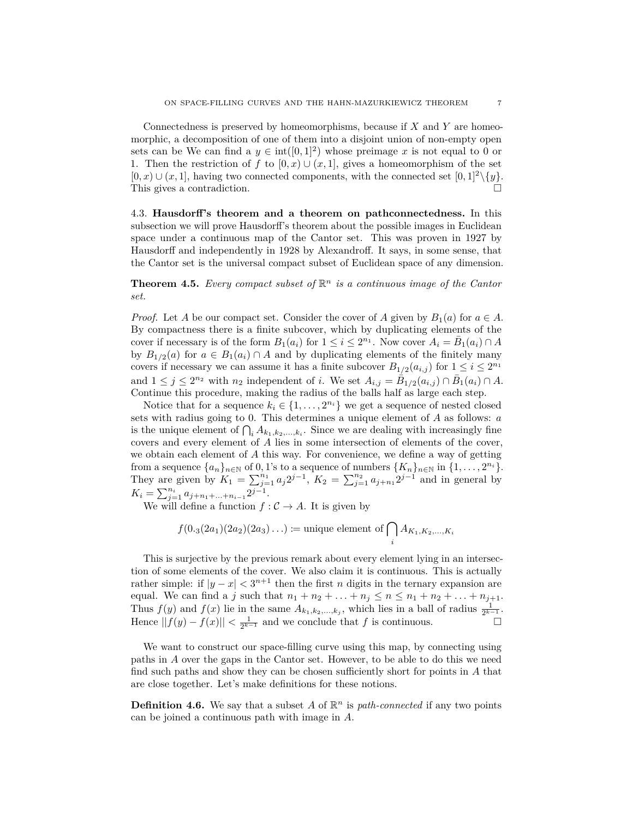Connectedness is preserved by homeomorphisms, because if *X* and *Y* are homeomorphic, a decomposition of one of them into a disjoint union of non-empty open sets can be We can find a  $y \in int([0, 1]^2)$  whose preimage x is not equal to 0 or 1. Then the restriction of *f* to  $[0, x) \cup (x, 1]$ , gives a homeomorphism of the set  $[0, x) \cup (x, 1]$ , having two connected components, with the connected set  $[0, 1]^2 \setminus \{y\}$ . This gives a contradiction.

4.3. **Hausdorff's theorem and a theorem on pathconnectedness.** In this subsection we will prove Hausdorff's theorem about the possible images in Euclidean space under a continuous map of the Cantor set. This was proven in 1927 by Hausdorff and independently in 1928 by Alexandroff. It says, in some sense, that the Cantor set is the universal compact subset of Euclidean space of any dimension.

**Theorem 4.5.** *Every compact subset of*  $\mathbb{R}^n$  *is a continuous image of the Cantor set.*

*Proof.* Let *A* be our compact set. Consider the cover of *A* given by  $B_1(a)$  for  $a \in A$ . By compactness there is a finite subcover, which by duplicating elements of the cover if necessary is of the form  $B_1(a_i)$  for  $1 \leq i \leq 2^{n_1}$ . Now cover  $A_i = \overline{B}_1(a_i) \cap A$ by  $B_{1/2}(a)$  for  $a \in B_1(a_i) \cap A$  and by duplicating elements of the finitely many covers if necessary we can assume it has a finite subcover  $B_{1/2}(a_{i,j})$  for  $1 \leq i \leq 2^{n_1}$ and  $1 \leq j \leq 2^{n_2}$  with  $n_2$  independent of *i*. We set  $A_{i,j} = \overline{B}_{1/2}(a_{i,j}) \cap \overline{B}_1(a_i) \cap A$ . Continue this procedure, making the radius of the balls half as large each step.

Notice that for a sequence  $k_i \in \{1, ..., 2^{n_i}\}\$  we get a sequence of nested closed sets with radius going to 0. This determines a unique element of *A* as follows: *a* is the unique element of  $\bigcap_i A_{k_1,k_2,\ldots,k_i}$ . Since we are dealing with increasingly fine covers and every element of *A* lies in some intersection of elements of the cover, we obtain each element of *A* this way. For convenience, we define a way of getting from a sequence  $\{a_n\}_{n\in\mathbb{N}}$  of 0, 1's to a sequence of numbers  $\{K_n\}_{n\in\mathbb{N}}$  in  $\{1,\ldots,2^{n_i}\}.$ They are given by  $K_1 = \sum_{j=1}^{n_1} a_j 2^{j-1}$ ,  $K_2 = \sum_{j=1}^{n_2} a_{j+n_1} 2^{j-1}$  and in general by  $K_i = \sum_{j=1}^{n_i} a_{j+n_1+\ldots+n_{i-1}} 2^{j-1}.$ 

We will define a function  $f: \mathcal{C} \to A$ . It is given by

$$
f(0.3(2a_1)(2a_2)(2a_3)...)
$$
 := unique element of  $\bigcap_i A_{K_1,K_2,...,K_i}$ 

This is surjective by the previous remark about every element lying in an intersection of some elements of the cover. We also claim it is continuous. This is actually rather simple: if  $|y - x| < 3^{n+1}$  then the first *n* digits in the ternary expansion are equal. We can find a *j* such that  $n_1 + n_2 + ... + n_j \le n \le n_1 + n_2 + ... + n_{j+1}$ . Thus  $f(y)$  and  $f(x)$  lie in the same  $A_{k_1,k_2,...,k_j}$ , which lies in a ball of radius  $\frac{1}{2^{k-1}}$ . Hence  $||f(y) - f(x)|| < \frac{1}{2^{k-1}}$  and we conclude that *f* is continuous.

We want to construct our space-filling curve using this map, by connecting using paths in *A* over the gaps in the Cantor set. However, to be able to do this we need find such paths and show they can be chosen sufficiently short for points in *A* that are close together. Let's make definitions for these notions.

**Definition 4.6.** We say that a subset A of  $\mathbb{R}^n$  is *path-connected* if any two points can be joined a continuous path with image in *A*.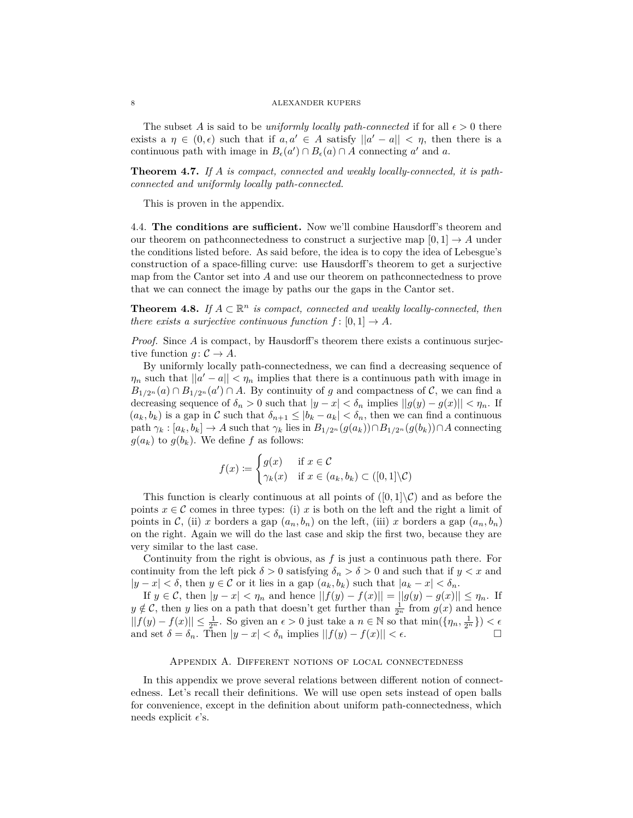The subset A is said to be *uniformly locally path-connected* if for all  $\epsilon > 0$  there exists a  $\eta \in (0, \epsilon)$  such that if  $a, a' \in A$  satisfy  $||a' - a|| < \eta$ , then there is a continuous path with image in  $B_{\epsilon}(a') \cap B_{\epsilon}(a) \cap A$  connecting *a'* and *a*.

**Theorem 4.7.** *If A is compact, connected and weakly locally-connected, it is pathconnected and uniformly locally path-connected.*

This is proven in the appendix.

4.4. **The conditions are sufficient.** Now we'll combine Hausdorff's theorem and our theorem on pathconnectedness to construct a surjective map  $[0, 1] \rightarrow A$  under the conditions listed before. As said before, the idea is to copy the idea of Lebesgue's construction of a space-filling curve: use Hausdorff's theorem to get a surjective map from the Cantor set into *A* and use our theorem on pathconnectedness to prove that we can connect the image by paths our the gaps in the Cantor set.

**Theorem 4.8.** *If*  $A \subset \mathbb{R}^n$  *is compact, connected and weakly locally-connected, then there exists a surjective continuous function*  $f: [0,1] \rightarrow A$ *.* 

*Proof.* Since *A* is compact, by Hausdorff's theorem there exists a continuous surjective function  $q: \mathcal{C} \to A$ .

By uniformly locally path-connectedness, we can find a decreasing sequence of  $\eta_n$  such that  $||a'-a|| < \eta_n$  implies that there is a continuous path with image in  $B_{1/2^n}(a) \cap B_{1/2^n}(a') \cap A$ . By continuity of *g* and compactness of *C*, we can find a decreasing sequence of  $\delta_n > 0$  such that  $|y - x| < \delta_n$  implies  $||g(y) - g(x)|| < \eta_n$ . If  $(a_k, b_k)$  is a gap in C such that  $\delta_{n+1} \leq |b_k - a_k| < \delta_n$ , then we can find a continuous path  $\gamma_k : [a_k, b_k] \to A$  such that  $\gamma_k$  lies in  $B_{1/2^n}(g(a_k)) \cap B_{1/2^n}(g(b_k)) \cap A$  connecting  $g(a_k)$  to  $g(b_k)$ . We define f as follows:

$$
f(x) := \begin{cases} g(x) & \text{if } x \in \mathcal{C} \\ \gamma_k(x) & \text{if } x \in (a_k, b_k) \subset ([0, 1] \backslash \mathcal{C}) \end{cases}
$$

This function is clearly continuous at all points of  $([0,1]\setminus\mathcal{C})$  and as before the points  $x \in \mathcal{C}$  comes in three types: (i) *x* is both on the left and the right a limit of points in C, (ii) *x* borders a gap  $(a_n, b_n)$  on the left, (iii) *x* borders a gap  $(a_n, b_n)$ on the right. Again we will do the last case and skip the first two, because they are very similar to the last case.

Continuity from the right is obvious, as *f* is just a continuous path there. For continuity from the left pick  $\delta > 0$  satisfying  $\delta_n > \delta > 0$  and such that if  $y < x$  and  $|y - x| < \delta$ , then *y* ∈ C or it lies in a gap  $(a_k, b_k)$  such that  $|a_k - x| < \delta_n$ .

If  $y \in C$ , then  $|y - x| < \eta_n$  and hence  $||f(y) - f(x)|| = ||g(y) - g(x)|| \leq \eta_n$ . If  $y \notin \mathcal{C}$ , then *y* lies on a path that doesn't get further than  $\frac{1}{2^n}$  from  $g(x)$  and hence  $||f(y) - f(x)|| \leq \frac{1}{2^n}$ . So given an  $\epsilon > 0$  just take a *n* ∈ N so that min({ $\eta_n, \frac{1}{2^n}$ }) <  $\epsilon$ and set  $\delta = \delta_n$ . Then  $|y - x| < \delta_n$  implies  $||f(y) - f(x)|| < \epsilon$ .

## Appendix A. Different notions of local connectedness

In this appendix we prove several relations between different notion of connectedness. Let's recall their definitions. We will use open sets instead of open balls for convenience, except in the definition about uniform path-connectedness, which needs explicit  $\epsilon$ 's.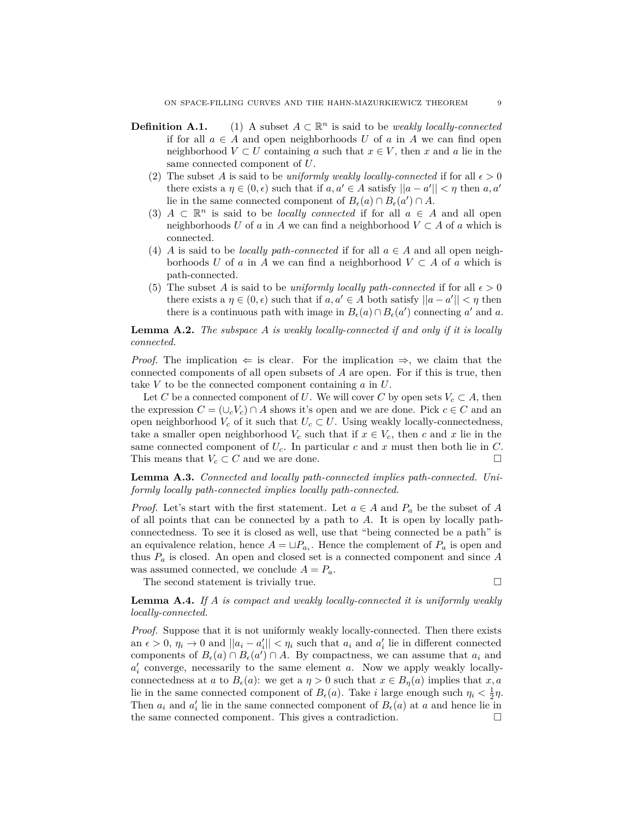- **Definition A.1.** (1) A subset  $A \subset \mathbb{R}^n$  is said to be *weakly locally-connected* if for all  $a \in A$  and open neighborhoods U of a in A we can find open neighborhood  $V \subset U$  containing *a* such that  $x \in V$ , then *x* and *a* lie in the same connected component of *U*.
	- (2) The subset *A* is said to be *uniformly weakly locally-connected* if for all  $\epsilon > 0$ there exists a  $\eta \in (0, \epsilon)$  such that if  $a, a' \in A$  satisfy  $||a - a'|| < \eta$  then  $a, a'$ lie in the same connected component of  $B_{\epsilon}(a) \cap B_{\epsilon}(a') \cap A$ .
	- (3)  $A \subset \mathbb{R}^n$  is said to be *locally connected* if for all  $a \in A$  and all open neighborhoods *U* of *a* in *A* we can find a neighborhood  $V \subset A$  of *a* which is connected.
	- (4) *A* is said to be *locally path-connected* if for all  $a \in A$  and all open neighborhoods *U* of *a* in *A* we can find a neighborhood  $V \subset A$  of *a* which is path-connected.
	- (5) The subset *A* is said to be *uniformly locally path-connected* if for all  $\epsilon > 0$ there exists a  $\eta \in (0, \epsilon)$  such that if  $a, a' \in A$  both satisfy  $||a - a'|| < \eta$  then there is a continuous path with image in  $B_{\epsilon}(a) \cap B_{\epsilon}(a')$  connecting *a'* and *a*.

**Lemma A.2.** *The subspace A is weakly locally-connected if and only if it is locally connected.*

*Proof.* The implication  $\Leftarrow$  is clear. For the implication  $\Rightarrow$ , we claim that the connected components of all open subsets of *A* are open. For if this is true, then take *V* to be the connected component containing *a* in *U*.

Let *C* be a connected component of *U*. We will cover *C* by open sets  $V_c \subset A$ , then the expression  $C = (\cup_c V_c) \cap A$  shows it's open and we are done. Pick  $c \in C$  and an open neighborhood  $V_c$  of it such that  $U_c \subset U$ . Using weakly locally-connectedness, take a smaller open neighborhood  $V_c$  such that if  $x \in V_c$ , then c and x lie in the same connected component of  $U_c$ . In particular  $c$  and  $x$  must then both lie in  $C$ . This means that  $V_c \subset C$  and we are done.

**Lemma A.3.** *Connected and locally path-connected implies path-connected. Uniformly locally path-connected implies locally path-connected.*

*Proof.* Let's start with the first statement. Let  $a \in A$  and  $P_a$  be the subset of A of all points that can be connected by a path to *A*. It is open by locally pathconnectedness. To see it is closed as well, use that "being connected be a path" is an equivalence relation, hence  $A = \sqcup P_{a_i}$ . Hence the complement of  $P_a$  is open and thus *P<sup>a</sup>* is closed. An open and closed set is a connected component and since *A* was assumed connected, we conclude  $A = P_a$ .

The second statement is trivially true.  $\Box$ 

**Lemma A.4.** *If A is compact and weakly locally-connected it is uniformly weakly locally-connected.*

*Proof.* Suppose that it is not uniformly weakly locally-connected. Then there exists an  $\epsilon > 0$ ,  $\eta_i \to 0$  and  $||a_i - a'_i|| < \eta_i$  such that  $a_i$  and  $a'_i$  lie in different connected components of  $B_{\epsilon}(a) \cap B_{\epsilon}(a') \cap A$ . By compactness, we can assume that  $a_i$  and  $a'_{i}$  converge, necessarily to the same element  $a$ . Now we apply weakly locallyconnectedness at *a* to  $B_{\epsilon}(a)$ : we get a  $\eta > 0$  such that  $x \in B_{\eta}(a)$  implies that  $x, a$ lie in the same connected component of  $B_{\epsilon}(a)$ . Take *i* large enough such  $\eta_i < \frac{1}{2}\eta$ . Then  $a_i$  and  $a'_i$  lie in the same connected component of  $B_{\epsilon}(a)$  at  $a$  and hence lie in the same connected component. This gives a contradiction.